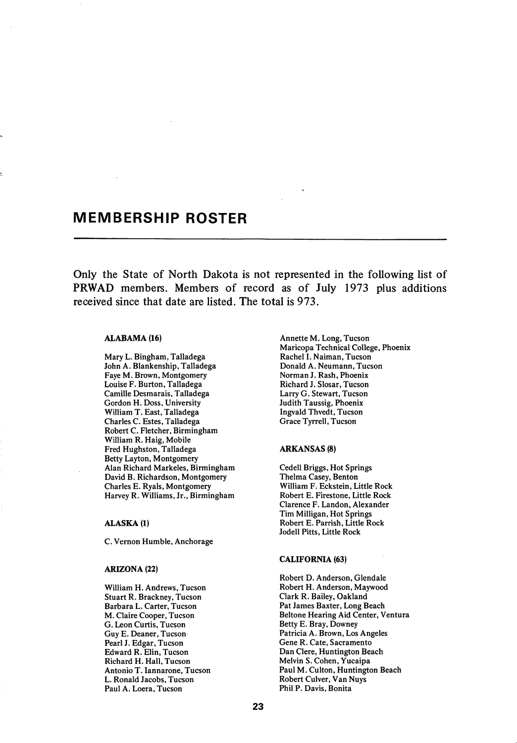# MEMBERSHIP ROSTER

Only the State of North Dakota is not represented in the following list of PRWAD members. Members of record as of July 1973 plus additions received since that date are listed. The total is 973.

# ALABAMA (16)

Mary L. Bingham, Talladega John A. Blankenship, Talladega Faye M. Brown, Montgomery Louise F. Burton, Talladega Camille Desmarais, Talladega Gordon H. Doss, University William T. East, Talladega Charles C. Estes, Talladega Robert C. Fletcher, Birmingham William R. Haig, Mobile Fred Hughston, Talladega Betty Layton, Montgomery Alan Richard Markeles, Birmingham David B. Richardson, Montgomery Charles E. Ryals, Montgomery Harvey R. Williams, Jr., Birmingham

# ALASKA (1)

C. Vemon Humble, Anchorage

#### ARIZONA (22)

William H. Andrews, Tucson Stuart R. Brackney, Tucson Barbara L. Carter, Tucson M. Claire Cooper, Tucson G. Leon Curtis, Tucson Guy E. Deaner, Tucson Pearl J. Edgar, Tucson Edward R. Elin, Tucson Richard H. Hall, Tucson Antonio T. lannarone, Tucson L. Ronald Jacobs, Tucson Paul A. Loera, Tucson

Annette M. Long, Tucson Maricopa Technical College, Phoenix Rachel 1. Naiman, Tucson Donald A. Neumann, Tucson Norman J. Rash, Phoenix Richard J. Slosar, Tucson Larry G. Stewart, Tucson Judith Taussig, Phoenix Ingvald Thvedt, Tucson Grace Tyrrell, Tucson

# ARKANSAS (8)

Cedell Briggs, Hot Springs Thelma Casey, Benton William F. Eckstein, Little Rock Robert E. Firestone, Little Rock Clarence F. Landon, Alexander Tim Milligan, Hot Springs Robert E. Parrish, Little Rock Jodell Pitts, Little Rock

#### CALIFORNIA (63)

Robert D. Anderson, Glendale Robert H. Anderson, Maywood Clark R. Bailey, Oakland Pat James Baxter, Long Beach Beltone Hearing Aid Center, Ventura Betty E. Bray, Downey Patricia A. Brown, Los Angeles Gene R. Cate, Sacramento Dan Clere, Huntington Beach Melvin S. Cohen, Yucaipa Paul M. Culton, Huntington Beach Robert Culver, Van Nuys Phil P. Davis, Bonita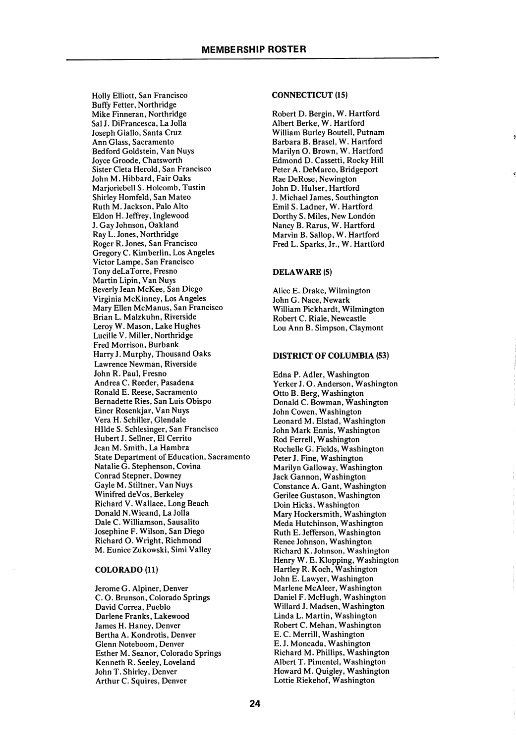Holly Elliott, San Francisco Buffy Fetter, Northridge Mike Finneran, Northridge Sal J. DiFrancesca, La Jolla Joseph Giallo, Santa Cruz Ann Glass, Sacramento Bedford Goldstein, Van Nuys Joyce Groode, Chatsworth Sister Cleta Herold, San Francisco John M. Hibbard, Fair Oaks Marjoriebell S. Holcomb, Tustin Shirley Homfeld, San Mateo Ruth M. Jackson, Palo Alto Eldon H. Jeffrey, Inglewood J. Gay Johnson, Oakland Ray L. Jones, Northridge Roger R. Jones, San Francisco Gregory C. Kimberlin, Los Angeles Victor Lampe, San Francisco Tony deLaTorre, Fresno Martin Lipin, Van Nuys Beverly Jean McKee, San Diego Virginia McKinney, Los Angeles Mary Ellen McManus, San Francisco Brian L. Malzkuhn, Riverside Leroy W. Mason, Lake Hughes Lucille V. Miller, Northridge Fred Morrison, Burbank Harry J. Murphy, Thousand Oaks Lawrence Newman, Riverside John R. Paul, Fresno Andrea C. Reeder, Pasadena Ronald E. Reese, Sacramento Bernadette Ries, San Luis Obispo Einer Rosenkjar, Van Nuys Vera H. Schiller, Glendale Hllde S. Schlesinger, San Francisco Hubert J. Sellner, El Cerrito Jean M. Smith, La Hambra State Department of Education, Sacramento Natalie G. Stephenson, Covina Conrad Stepner, Downey Gayle M. Stiltner, Van Nuys Winifred deVos, Berkeley Richard V. Wallace, Long Beach Donald N.Wieand, La Jolla Dale C. Williamson, Sausalito Josephine F. Wilson, San Diego Richard O. Wright, Richmond M. Eunice Zukowski, Simi Valley

#### COLORADO (11)

Jerome G. Alpiner, Denver C. O. Brunson, Colorado Springs David Correa, Pueblo Darlene Franks, Lakewood James H. Haney, Denver Bertha A. Kondrotis, Denver Glenn Noteboom, Denver Esther M. Seanor, Colorado Springs Kenneth R. Seeley, Loveland John T. Shirley, Denver Arthur C. Squires, Denver

# CONNECTICUT (15)

Robert D. Bergin, W. Hartford Albert Berke, W. Hartford William Burley Boutell, Putnam Barbara B. Brasel, W. Hartford Marilyn O. Brown, W. Hartford Edmond D. Cassetti, Rocky Hill Peter A. DeMarco, Bridgeport Rae DeRose, Newington John D. Hulser, Hartford J. Michael James, Southington Emil S. Ladner, W. Hartford Dorthy S. Miles, New London Nancy B. Rarus, W. Hartford Marvin B. Sallop, W. Hartford Fred L. Sparks, Jr., W. Hartford

# DELAWARE (5)

Alice E. Drake, Wilmington John G. Nace, Newark William Pickhardt, Wilmington Robert C. Riale, Newcastle Lou Ann B. Simpson, Claymont

# DISTRICT OF COLUMBIA (53)

Edna P. Adler, Washington Yerker J. O. Anderson, Washington Otto B. Berg, Washington Donald C. Bowman, Washington John Cowen, Washington Leonard M. Elstad, Washington John Mark Ennis, Washington Rod Ferrell, Washington Rochelle G. Fields, Washington Peter J. Fine, Washington Marilyn Galloway, Washington Jack Gannon, Washington Constance A. Gant, Washington Gerilee Gustason, Washington Doin Hicks, Washington Mary Hockersmith, Washington Meda Hutchinson, Washington Ruth E. Jefferson, Washington Renee Johnson, Washington Richard K. Johnson, Washington Henry W. E. Klopping, Washington Hartley R. Koch, Washington John E. Lawyer, Washington Marlene McAleer, Washington Daniel F. McHugh, Washington Willard J. Madsen, Washington Linda L. Martin, Washington Robert C. Mehan, Washington E. C. Merrill, Washington E, J. Moncada, Washington Richard M. Phillips, Washington Albert T. Pimentel, Washington Howard M. Quigley, Washington Lottie Riekehof, Washington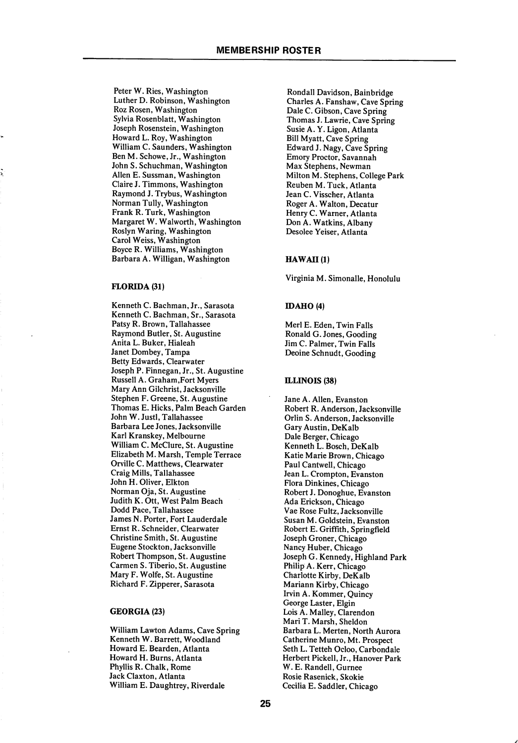Peter W. Ries, Washington Luther D. Robinson, Washington Roz Rosen, Washington Sylvia Rosenblatt, Washington Joseph Rosenstein, Washington Howard L. Roy, Washington William C. Saunders, Washington Ben M. Schowe, Jr., Washington John S. Schuchman, Washington Allen E. Sussman, Washington Claire J. Timmons, Washington Raymond J. Trybus, Washington Norman Tully, Washington Frank R. Turk, Washington Margaret W. Walworth, Washington Roslyn Waring, Washington Carol Weiss, Washington Boyce R. Williams, Washington Barbara A. Willigan, Washington

#### FLORIDA (31)

Kenneth C. Bachman, Jr., Sarasota Kenneth C. Bachman, Sr., Sarasota Patsy R. Brown, Tallahassee Raymond Butler, St. Augustine Anita L. Buker, Hialeah Janet Dombey, Tampa Betty Edwards, Clearwater Joseph P. Finnegan, Jr., St. Augustine Russell A. Graham,Fort Myers Mary Ann Gilchrist, Jacksonville Stephen F. Greene, St. Augustine Thomas E. Hicks, Palm Beach Garden John W. Justl, Tallahassee Barbara Lee Jones, Jacksonville Karl Kranskey, Melbourne William C. McClure, St. Augustine Elizabeth M. Marsh, Temple Terrace Orville C. Matthews, Clearwater Craig Mills, Tallahassee John H. Oliver, Elkton Norman Oja, St. Augustine Judith K. Ott, West Palm Beach Dodd Pace, Tallahassee James N. Porter, Fort Lauderdale Ernst R. Schneider, Clearwater Christine Smith, St. Augustine Eugene Stockton, Jacksonville Robert Thompson, St. Augustine Carmen S. Tiberio, St. Augustine Mary F. Wolfe, St. Augustine Richard F. Zipperer, Sarasota

# GEORGIA (23)

William Lawton Adams, Cave Spring Kenneth W. Barrett, Woodland Howard E. Bearden, Atlanta Howard H. Burns, Atlanta Phyllis R. Chalk, Rome Jack Claxton, Atlanta William E. Daughtrey, Riverdale

Rondall Davidson, Bainbridge Charles A. Fanshaw, Cave Spring Dale C. Gibson, Cave Spring Thomas J. Lawrie, Cave Spring Susie A. Y. Ligon, Atlanta Bill Myatt, Cave Spring Edward J. Nagy, Cave Spring Emory Proctor, Savannah Max Stephens, Newman Milton M. Stephens, College Park Reuben M. Tuck, Atlanta Jean C. Visscher, Atlanta Roger A. Walton, Decatur Henry C. Warner, Atlanta Don A. Watkins, Albany Desolee Yeiser, Atlanta

# HAWAII(1)

Virginia M. Simonalle, Honolulu

#### IDAHO (4)

Merl E. Eden, Twin Falls Ronald G. Jones, Gooding Jim C. Palmer, Twin Falls Deoine Schnudt, Gooding

# ILLINOIS (38)

Jane A. Allen, Evanston Robert R. Anderson, Jacksonville Orlin S. Anderson, Jacksonville Gary Austin, DeKalb Dale Berger, Chicago Kenneth L. Bosch, DeKalb Katie Marie Brown, Chicago Paul Cantwell, Chicago Jean L. Crompton, Evanston Flora Dinkines, Chicago Robert J. Donoghue, Evanston Ada Erickson, Chicago Vae Rose Fultz, Jacksonville Susan M. Goldstein, Evanston Robert E. Griffith, Springfield Joseph Groner, Chicago Nancy Huber, Chicago Joseph G. Kennedy, Highland Park Philip A. Kerr, Chicago Charlotte Kirby, DeKalb Mariann Kirby, Chicago Irvin A. Kommer, Quincy George Laster, Elgin Lois A. Malley, Clarendon Mari T. Marsh, Sheldon Barbara L. Merten, North Aurora Catherine Munro, Mt. Prospect Seth L. Tetteh Ocloo, Carbondale Herbert Pickell, Jr., Hanover Park W. E. Randell, Gurnee Rosie Rasenick, Skokie Cecilia E. Saddler, Chicago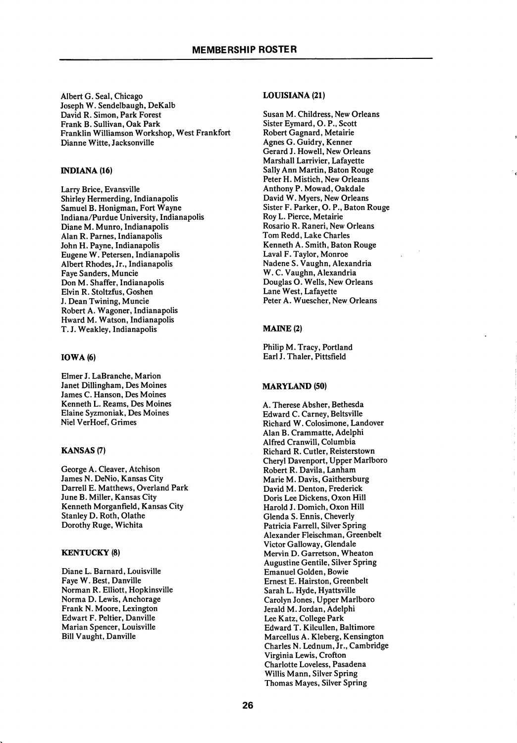Albert G. Seal, Chicago Joseph W. Sendelbaugh, DeKalb David R. Simon, Park Forest Frank B. Sullivan, Oak Park Franklin Williamson Workshop, West Frankfort Dianne Witte, Jacksonville

# INDIANA (16)

Larry Brice, Evansville Shirley Hermerding, Indianapolis Samuel B. Honigman, Fort Wayne Indiana/Purdue University, Indianapolis Diane M. Munro, Indianapolis Alan R. Parnes, Indianapolis John H. Payne, Indianapolis Eugene W. Petersen, Indianapolis Albert Rhodes, Jr., Indianapolis Faye Sanders, Muncie Don M. Shaffer, Indianapolis Elvin R. Stoltzfus, Goshen J. Dean Twining, Muncie Robert A. Wagoner, Indianapolis Hward M. Watson, Indianapolis T. J. Weakley, Indianapolis

# IOWA (6)

Elmer J. LaBranche, Marion Janet Dillingham, Des Moines James C. Hanson, Des Moines Kenneth L. Reams, Des Moines Elaine Syzmoniak, Des Moines Niel VerHoef, Grimes

#### KANSAS (7)

George A. Cleaver, Atchison James N. DeNio, Kansas City Darrell E. Matthews, Overland Park June B. Miller, Kansas City Kenneth Morganfield, Kansas City Stanley D. Roth, Olathe Dorothy Ruge, Wichita

#### KENTUCKY (8)

Diane L. Barnard, Louisville Faye W. Best, Danville Norman R. Elliott, Hopkinsville Norma D. Lewis, Anchorage Frank N. Moore, Lexington Edwart F. Peltier, Danville Marian Spencer, Louisville Bill Vaught, Danville

# LOUISIANA (21)

Susan M. Childress, New Orleans Sister Eymard, O. P., Scott Robert Gagnard, Metairie Agnes G. Guidry, Kenner Gerard J. Howell, New Orleans Marshall Larrivier, Lafayette Sally Ann Martin, Baton Rouge Peter H. Mistich, New Orleans Anthony P. Mowad, Oakdale David W. Myers, New Orleans Sister F. Parker, O. P., Baton Rouge Roy L. Pierce, Metairie Rosario R. Raneri, New Orleans Tom Redd, Lake Charles Kenneth A. Smith, Baton Rouge Laval F. Taylor, Monroe Nadene S. Vaughn, Alexandria W. C. Vaughn, Alexandria Douglas O. Wells, New Orleans Lane West, Lafayette Peter A. Wuescher, New Orleans

# MAINE (2)

Philip M. Tracy, Portland Earl J. Thaler, Pittsfield

#### MARYLAND (50)

A. Therese Absher, Bethesda Edward C. Carney, Beltsville Richard W. Colosimone, Landover Alan B. Crammatte, Adelphi Alfred Cranwill, Columbia Richard R. Cutler, Reisterstown Cheryl Davenport, Upper Marlboro Robert R. Davila, Lanham Marie M. Davis, Gaithersburg David M. Denton, Frederick Doris Lee Dickens, Oxon Hill Harold J. Domich, Oxon Hill Glenda S. Ennis, Cheverly Patricia Farrell, Silver Spring Alexander Fleischman, Greenbelt Victor Galloway, Glendale Mervin D. Garretson, Wheaton Augustine Gentile, Silver Spring Emanuel Golden, Bowie Ernest E. Hairston, Greenbelt Sarah L. Hyde, Hyattsville Carolyn Jones, Upper Marlboro Jerald M. Jordan, Adelphi Lee Katz, College Park Edward T. Kilcullen, Baltimore Marcellus A. Kleberg, Kensington Charles N. Lednum, Jr., Cambridge Virginia Lewis, Crofton Charlotte Loveless, Pasadena Willis Mann, Silver Spring Thomas Mayes, Silver Spring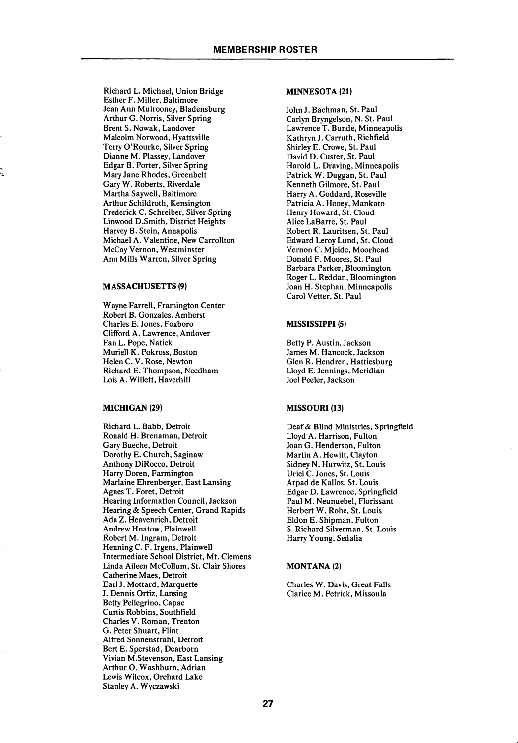Richard L. Michael, Union Bridge Esther F. Miller, Baltimore Jean Ann Mulrooney, Bladensburg Arthur G. Norris, Silver Spring Brent S. Nowak, Landover Malcolm Norwood, Hyattsville Terry O'Rourke, Silver Spring Dianne M. Plassey, Landover Edgar B. Porter, Silver Spring Mary Jane Rhodes, Greenbelt Gary W. Roberts, Riverdale Martha Saywell, Baltimore Arthur Schildroth, Kensington Frederick C. Schreiber, Silver Spring Linwood D.Smith, District Heights Harvey B. Stein, Annapolis Michael A. Valentine, New Carrollton McCay Vernon, Westminster Ann Mills Warren, Silver Spring

# MASSACHUSETTS (9)

Wayne Farrell, Framington Center Robert B. Gonzales, Amherst Charles E. Jones, Foxboro Clifford A. Lawrence, Andover Fan L. Pope, Natick Muriell K. Pokross, Boston Helen C. V. Rose, Newton Richard E. Thompson, Needham Lois A. Willett, Haverhill

### MICHIGAN (29) MISSOURI (13)

Richard L. Babb, Detroit Ronald H. Brenaman, Detroit Gary Bueche, Detroit Dorothy E. Church, Saginaw Anthony DiRocco, Detroit Harry Doren, Farmington Marlaine Ehrenberger, East Lansing Agnes T. Foret, Detroit Hearing Information Council, Jackson Hearing & Speech Center, Grand Rapids Ada Z. Heavenrich, Detroit Andrew Hnatow, Plainwell Robert M. Ingram, Detroit Henning C. F. Irgens, Plainwell Intermediate School District, Mt. Clemens Linda Aileen McCollum, St. Clair Shores Catherine Maes, Detroit Earl J. Mottard, Marquette J. Dennis Ortiz, Lansing Betty Pellegrino, Capac Curtis Robbins, Southfield Charles V. Roman, Trenton G. Peter Shuart, Flint Alfred Sonnenstrahl, Detroit Bert E. Sperstad, Dearborn Vivian M.Stevenson, East Lansing Arthur O. Washburn, Adrian Lewis Wilcox, Orchard Lake Stanley A. Wyczawski

#### MINNESOTA (21)

John J. Bachman, St. Paul Carlyn Bryngelson, N. St. Paul Lawrence T. Bunde, Minneapolis Kathryn J. Carruth, Richfield Shirley E. Crowe, St. Paul David D. Custer, St. Paul Harold L. Draving, Minneapolis Patrick W. Duggan, St. Paul Kenneth Gilmore, St. Paul Harry A. Goddard, Roseville Patricia A. Hooey, Mankato Henry Howard, St. Cloud Alice LaBarre, St. Paul Robert R. Lauritsen, St. Paul Edward Leroy Lund, St. Cloud Vernon C. Mjelde, Moorhead Donald F. Moores, St. Paul Barbara Parker, Bloomington Roger L. Reddan, Bloomington Joan H. Stephan, Minneapolis Carol Vetter, St. Paul

#### MISSISSIPPI (5)

Betty P. Austin, Jackson James M. Hancock, Jackson Glen R. Hendren, Hattiesburg Lloyd E. Jennings, Meridian Joel Peeler, Jackson

Deaf & Blind Ministries, Springfield Lloyd A. Harrison, Fulton Joan G. Henderson, Fulton Martin A. Hewitt, Clayton Sidney N. Hurwitz, St. Louis Uriel C. Jones, St. Louis Arpad de Kallos, St. Louis Edgar D. Lawrence, Springfield Paul M. Neunuebel, Florissant Herbert W. Rohe, St. Louis Eldon E. Shipman, Fulton S. Richard Silverman, St. Louis Harry Young, Sedalia

# MONTANA (2)

Charles W. Davis, Great Falls Clarice M. Petrick, Missoula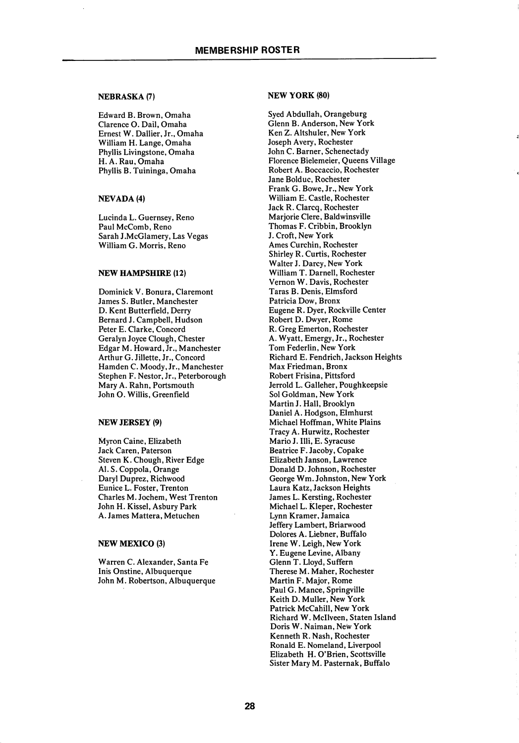### NEBRASKA (7)

Edward B. Brown, Omaha Clarence O. Dail, Omaha Ernest W. Dallier, Jr., Omaha William H. Lange, Omaha Phyllis Livingstone, Omaha H. A. Rau, Omaha Phyllis B. Tuininga, Omaha

#### NEVADA (4)

Lucinda L. Guernsey, Reno Paul McComb, Reno Sarah J.McGlamery, Las Vegas William G. Morris, Reno

# NEW HAMPSHIRE (12)

Dominick V. Bonura, Claremont James S. Butler, Manchester D. Kent Butterfield, Derry Bernard J. Campbell, Hudson Peter E. Clarke, Concord Geralyn Joyce Clough, Chester Edgar M. Howard, Jr., Manchester Arthur G. Jillette, Jr., Concord Hamden C. Moody, Jr., Manchester Stephen P. Nestor, Jr., Peterborough Mary A. Rahn, Portsmouth John O. Willis, Greenfield

#### NEW JERSEY (9)

Myron Caine, Elizabeth Jack Caren, Paterson Steven K. Chough, River Edge Al. S. Coppola, Orange Daryl Duprez, Richwood Eunice L. Foster, Trenton Charles M. Jochem, West Trenton John H. Kissel, Asbury Park A. James Mattera, Metuchen

### NEW MEXICO (3)

Warren C. Alexander, Santa Fe Inis Onstine, Albuquerque John M. Robertson, Albuquerque

# NEW YORK (80)

Syed Abdullah, Orangeburg Glenn B. Anderson, New York Ken Z. Altshuler, New York Joseph Avery, Rochester John C. Barner, Schenectady Florence Bielemeier, Queens Village Robert A. Boccaccio, Rochester Jane Bolduc, Rochester Frank G. Bowe, Jr., New York William E. Castle, Rochester Jack R. Clarcq, Rochester Marjorie Clere, Baldwinsville Thomas F. Cribbin, Brooklyn J. Croft, New York Ames Curchin, Rochester Shirley R. Curtis, Rochester Walter J. Darcy, New York William T. Darnell, Rochester Vemon W. Davis, Rochester Taras B. Denis, Elmsford Patricia Dow, Bronx Eugene R. Dyer, Rockville Center Robert D. Dwyer, Rome R. Greg Emerton, Rochester A. Wyatt, Emergy, Jr., Rochester Tom Federlin, New York Richard E. Fendrich, Jackson Heights Max Friedman, Bronx Robert Frisina, Pittsford Jerrold L. Galleher, Poughkeepsie Sol Goldman, New York Martin J. Hall, Brooklyn Daniel A. Hodgson, Elmhurst Michael Hoffman, White Plains Tracy A. Hurwitz, Rochester Mario J. Illi, E. Syracuse Beatrice F. Jacoby, Copake Elizabeth Janson, Lawrence Donald D. Johnson, Rochester George Wm. Johnston, New York Laura Katz, Jackson Heights James L. Kersting, Rochester Michael L. Kleper, Rochester Lynn Kramer, Jamaica Jeffery Lambert, Briarwood Dolores A. Liebner, Buffalo Irene W. Leigh, New York Y. Eugene Levine, Albany Glenn T. Lloyd, Suffern Therese M. Maher, Rochester Martin F. Major, Rome Paul G. Mance, Springville Keith D. Muller, New York Patrick McCahill, New York Richard W. Mcllveen, Staten Island Doris W. Naiman, New York Kenneth R. Nash, Rochester Ronald E. Nomeland, Liverpool Elizabeth H. O'Brien, Scottsville Sister Mary M. Pasternak, Buffalo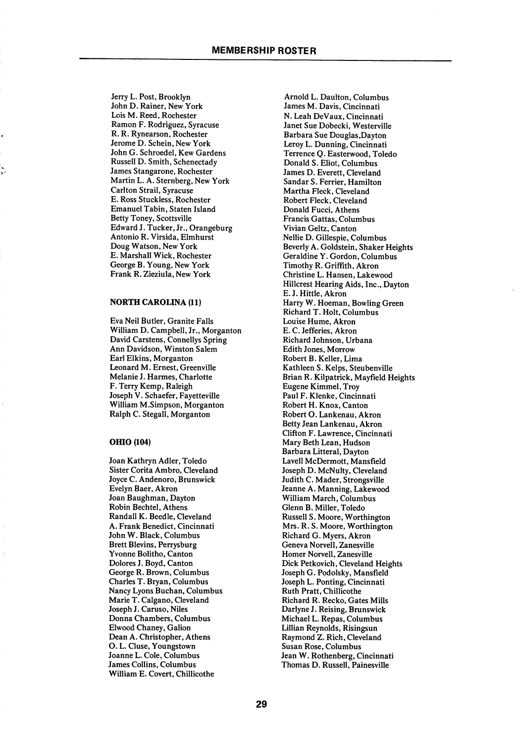Jerry L. Post, Brooklyn John D. Rainer, New York Lois M. Reed, Rochester Ramon F. Rodriguez, Syracuse R. R. Rynearson, Rochester Jerome D. Schein, New York John G. Schroedel, Kew Gardens Russell D. Smith, Schenectady James Stangarone, Rochester Martin L. A. Sternberg, New York Carlton Strail, Syracuse E. Ross Stuckless, Rochester Emanuel Tabin, Staten Island Betty Toney, Scottsville Edward J. Tucker, Jr., Orangeburg Antonio R. Virsida, Elmhurst Doug Watson, New York E. Marshall Wick, Rochester George B. Young, New York Frank R. Zieziula, New York

# NORTH CAROLINA (11)

Eva Neil Butler, Granite Falls William D. Campbell, Jr., Morganton David Carstens, Connellys Spring Ann Davidson, Winston Salem Earl Elkins, Morganton Leonard M. Ernest, Greenville Melanie J. Harmes, Charlotte F. Terry Kemp, Raleigh Joseph V. Schaefer, Fayetteville William M.Simpson, Morganton Ralph C. Stegall, Morganton

#### OHIO (104)

Joan Kathryn Adler, Toledo Sister Corita Ambro, Cleveland Joyce C. Andenoro, Brunswick Evelyn Baer, Akron Joan Baughman, Dayton Robin Bechtel, Athens Randall K. Beedle, Cleveland A. Frank Benedict, Cincinnati John W. Black, Columbus Brett Blevins, Perrysburg Yvonne Bolitho, Canton Dolores J. Boyd, Canton George R. Brown, Columbus Charles T. Bryan, Columbus Nancy Lyons Buchan, Columbus Marie T. Calgano, Cleveland Joseph J. Caruso, Niles Donna Chambers, Columbus Elwood Chaney, Gallon Dean A. Christopher, Athens O. L. Cluse, Youngstown Joanne L. Cole, Columbus James Collins, Columbus William E. Covert, Chillicothe

Arnold L. Daulton, Columbus James M. Davis, Cincinnati N. Leah DeVaux, Cincinnati Janet Sue Dobecki, Westerville Barbara Sue Douglas,Dayton Leroy L. Dunning, Cincinnati Terrence Q. Easterwood, Toledo Donald S. Eliot, Columbus James D. Everett, Cleveland Sandar S. Ferrier, Hamilton Martha Fleck, Cleveland Robert Fleck, Cleveland Donald Fucci, Athens Francis Gattas, Columbus Vivian Geltz, Canton Nellie D. Gillespie, Columbus Beverly A. Goldstein, Shaker Heights Geraldine Y. Gordon, Columbus Timothy R. Griffith, Akron Christine L. Hansen, Lakewood Hillcrest Hearing Aids, Inc., Dayton E. J. Hittle, Akron Harry W. Hoeman, Bowling Green Richard T. Holt, Columbus Louise Hume, Akron E. C. Jefferies, Akron Richard Johnson, Urbana Edith Jones, Morrow Robert B. Keller, Lima Kathleen S. Kelps, Steubenville Brian R. Kilpatrick, Mayfield Heights Eugene Kimmel, Troy Paul F. Klenke, Cincinnati Robert H. Knox, Canton Robert O. Lankenau, Akron Betty Jean Lankenau, Akron Clifton F. Lawrence, Cincinnati Mary Beth Lean, Hudson Barbara Litteral, Dayton Lavell McDermott, Mansfield Joseph D. McNulty, Cleveland Judith C. Mader, Strongsville Jeanne A. Manning, Lakewood William March, Columbus Glenn B. Miller, Toledo Russell S. Moore, Worthington Mrs. R. S. Moore, Worthington Richard G. Myers, Akron Geneva Norvell, Zanesville Homer Norvell, Zanesville Dick Petkovich, Cleveland Heights Joseph G. Podolsky, Mansfield Joseph L. Ponting, Cincinnati Ruth Pratt, Chillicothe Richard R. Recko, Gates Mills Darlyne J. Reising, Brunswick Michael L. Repas, Columbus Lillian Reynolds, Risingsun Raymond Z. Rich, Cleveland Susan Rose, Columbus Jean W. Rothenberg, Cincinnati Thomas D. Russell, Painesville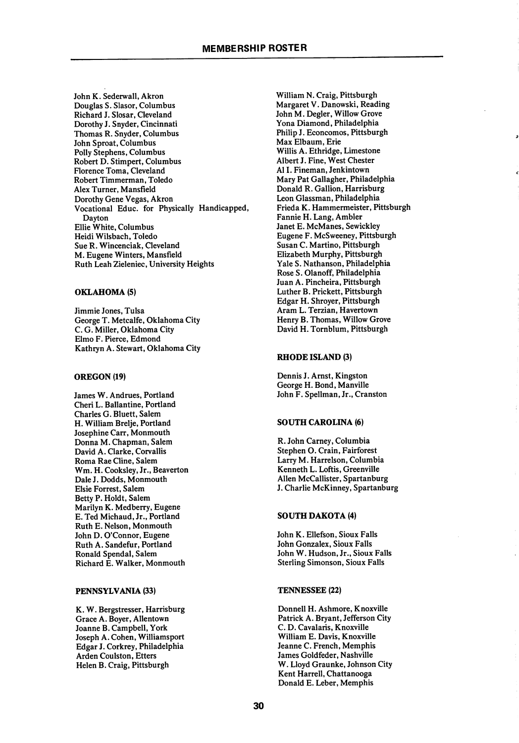John K. Sederwall, Akron Douglas S. Slasor, Columbus Richard J. Slosar, Cleveland Dorothy J. Snyder, Cincinnati Thomas R. Snyder, Columbus John Sproat, Columbus Polly Stephens, Columbus Robert D. Stimpert, Columbus Florence Toma, Cleveland Robert Timmerman, Toledo Alex Turner, Mansfield Dorothy Gene Vegas, Akron Vocational Educ. for Physically Handicapped, Dayton Ellie White, Columbus Heidi Wilsbach, Toledo Sue R. Wincenciak, Cleveland M. Eugene Winters, Mansfield Ruth Leah Zieleniec, University Heights

#### OKLAHOMA (5)

Jimmie Jones, Tulsa George T. Metcalfe, Oklahoma City C. G. Miller, Oklahoma City Elmo F, Pierce, Edmond Kathryn A. Stewart, Oklahoma City

#### OREGON (19)

James W. Andrues, Portland Cheri L. Ballantine, Portland Charles G. Bluett, Salem H. William Brelje, Portland Josephine Carr, Monmouth Donna M. Chapman, Salem David A. Clarke, Corvallis Roma Rae Cline, Salem Wm. H. Cooksley, Jr., Beaverton Dale J. Dodds, Monmouth Elsie Forrest, Salem Betty P. Holdt, Salem Marilyn K. Medberry, Eugene E. Ted Michaud, Jr., Portland Ruth E. Nelson, Monmouth John D. O'Connor, Eugene Ruth A. Sandefur, Portland Ronald Spendal, Salem Richard E. Walker, Monmouth

# PENNSYLVANIA (33)

K. W. Bergstresser, Harrisburg Grace A. Boyer, Allentown Joanne B. Campbell, York Joseph A. Cohen, Williamsport Edgar J. Corkrey, Philadelphia Arden Coulston, Etters Helen B. Craig, Pittsburgh

William N. Craig, Pittsburgh Margaret V. Danowski, Reading John M. Degler, Willow Grove Yona Diamond, Philadelphia Philip J. Econcomos, Pittsburgh Max Elbaum, Erie Willis A. Ethridge, Limestone Albert J. Fine, West Chester A11. Fineman, Jenkintown Mary Pat Gallagher, Philadelphia Donald R. Gallion, Harrisburg Leon Glassman, Philadelphia Frieda K. Hammermeister, Pittsburgh Fannie H. Lang, Ambler Janet E. McManes, Sewickley Eugene F. McSweeney, Pittsburgh Susan C. Martino, Pittsburgh Elizabeth Murphy, Pittsburgh Yale S. Nathanson, Philadelphia Rose S. Olanoff, Philadelphia Juan A. Pincheira, Pittsburgh Luther B. Prickett, Pittsburgh Edgar H. Shroyer, Pittsburgh Aram L. Terzian, Havertown Henry B. Thomas, Willow Grove David H. Tornblum, Pittsburgh

# RHODE ISLAND (3)

Dennis J. Amst, Kingston George H. Bond, Manville John F. Spellman, Jr., Cranston

# SOUTH CAROLINA (6)

R. John Carney, Columbia Stephen O. Crain, Fairforest Larry M. Harrelson, Columbia Kenneth L. Loftis, Greenville Allen McCallister, Spartanburg J. Charlie McKinney, Spartanburg

# SOUTH DAKOTA (4)

John K. Ellefson, Sioux Falls John Gonzalex, Sioux Falls John W. Hudson, Jr., Sioux Falls Sterling Simonson, Sioux Falls

# TENNESSEE (22)

Donnell H. Ashmore, Knoxville Patrick A. Bryant, Jefferson City C. D. Cavalaris, Knoxville William E. Davis, Knoxville Jeanne C. French, Memphis James Goldfeder, Nashville W. Lloyd Graunke, Johnson City Kent Harrell, Chattanooga Donald E. Leber, Memphis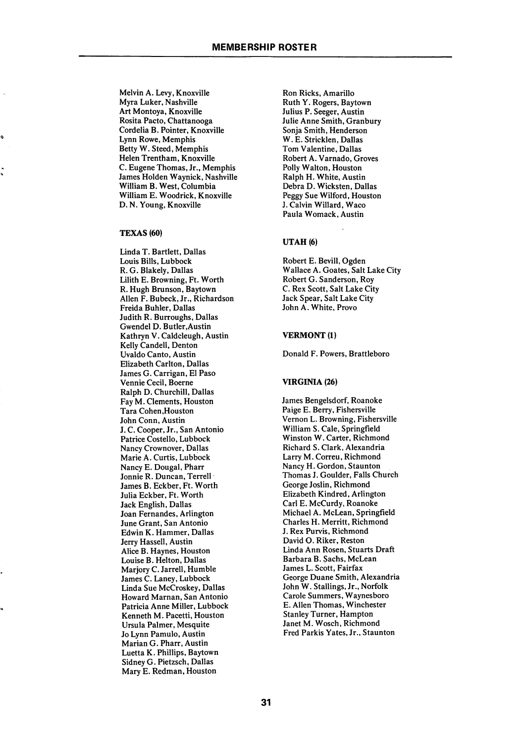Melvin A. Levy, Knoxville Myra Luker, Nashville Art Montoya, Knoxville Rosita Pacto, Chattanooga Cordelia B. Pointer, Knoxville Lynn Rowe, Memphis Betty W. Steed, Memphis Helen Trentham, Knoxville C. Eugene Thomas, Jr., Memphis James Holden Waynick, Nashville William B. West, Columbia William E. Woodrick, Knoxville D. N. Young, Knoxville

#### TEXAS (60)

Linda T. Bartlett, Dallas Louis Bills, Lubbock R. G. Blakely, Dallas Lilith E. Browning, Ft. Worth R. Hugh Brunson, Baytown Allen F. Bubeck, Jr., Richardson Freida Buhler, Dallas Judith R. Burroughs, Dallas Gwendel D. Butler,Austin Kathryn V. Caldcleugh, Austin Kelly Candell, Denton Uvaldo Canto, Austin Elizabeth Carlton, Dallas James G. Carrigan, El Paso Vennie Cecil, Boerne Ralph D. Churchill, Dallas Fay M. Clements, Houston Tara Cohen,Houston John Conn, Austin J. C. Cooper, Jr., San Antonio Patrice Costello, Lubbock Nancy Crownover, Dallas Marie A. Curtis, Lubbock Nancy E. Dougal, Pharr Jonnie R. Duncan, Terrell James B. Eckber, Ft. Worth Julia Eckber, Ft. Worth Jack English, Dallas Joan Fernandes, Arlington June Grant, San Antonio Edwin K. Hammer, Dallas Jerry Hassell, Austin Alice B. Haynes, Houston Louise B. Helton, Dallas Marjory C. Jarrell, Humble James C. Laney, Lubbock Linda Sue McCroskey, Dallas Howard Marnan, San Antonio Patricia Anne Miller, Lubbock Kenneth M. Pacetti, Houston Ursula Palmer, Mesquite Jo Lynn Pamulo, Austin Marian G. Pharr, Austin Luetta K. Phillips, Baytown Sidney G. Pietzsch, Dallas Mary E. Redman, Houston

Ron Ricks, Amarillo Ruth Y. Rogers, Baytown Julius P. Seeger, Austin Julie Anne Smith, Granbury Sonja Smith, Henderson W. E. Stricklen, Dallas Tom Valentine, Dallas Robert A. Varnado, Groves Polly Walton, Houston Ralph H. White, Austin Debra D. Wicksten, Dallas Peggy Sue Wilford, Houston J. Calvin Willard, Waco Paula Womack, Austin

# UTAH (6)

Robert E. Bevill, Ogden Wallace A. Goates, Salt Lake City Robert G. Sanderson, Roy C. Rex Scott, Salt Lake City Jack Spear, Salt Lake City John A. White, Provo

# VERMONT (1)

Donald F. Powers, Brattleboro

#### VIRGINIA (26)

James Bengelsdorf, Roanoke Paige E. Berry, Fishersville Vernon L. Browning, Fishersville William S. Cale, Springfield Winston W. Carter, Richmond Richard S. Clark, Alexandria Larry M. Correu, Richmond Nancy H. Gordon, Staunton Thomas J. Goulder, Falls Church George Joslin, Richmond Elizabeth Kindred, Arlington Carl E. McCurdy, Roanoke Michael A. McLean, Springfield Charles H. Merritt, Richmond J. Rex Purvis, Richmond David O. Riker, Reston Linda Ann Rosen, Stuarts Draft Barbara B. Sachs, McLean James L. Scott, Fairfax George Duane Smith, Alexandria John W. Stallings, Jr., Norfolk Carole Summers, Waynesboro E. Allen Thomas, Winchester Stanley Turner, Hampton Janet M. Wosch, Richmond Fred Parkis Yates, Jr., Staunton